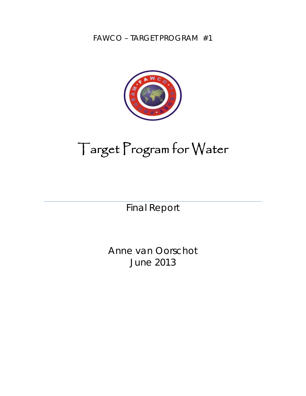FAWCO – TARGET PROGRAM #1



# Target Program for Water

Final Report

Anne van Oorschot June 2013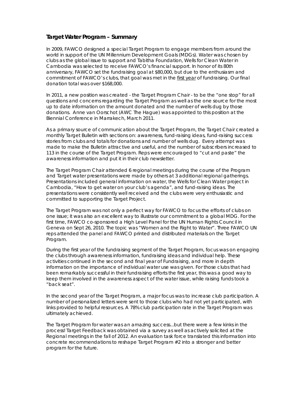### **Target Water Program – Summary**

In 2009, FAWCO designed a special Target Program to engage members from around the world in support of the UN Millennium Development Goals (MDGs). Water was chosen by clubs as the global issue to support and Tabitha Foundation, *Wells for Clean Water* in Cambodia was selected to receive FAWCO's financial support. In honor of its 80th anniversary, FAWCO set the fundraising goal at \$80,000, but due to the enthusiasm and commitment of FAWCO's clubs, that goal was met in the first year of fundraising. Our final donation total was over \$168,000.

In 2011, a new position was created - the Target Program Chair - to be the "one stop" for all questions and concerns regarding the Target Program as well as the one source for the most up to date information on the amount donated and the number of wells dug by those donations. Anne van Oorschot (AWC The Hague) was appointed to this position at the Biennial Conference in Marrakech, March 2011.

As a primary source of communication about the Target Program, the Target Chair created a monthly Target Bulletin with sections on: awareness, fund-raising ideas, fund-raising success stories from clubs and totals for donations and number of wells dug. Every attempt was made to make the Bulletin attractive and useful, and the number of subscribers increased to 113 in the course of the Target Program. Reps were encouraged to "cut and paste" the awareness information and put it in their club newsletter.

The Target Program Chair attended 6 regional meetings during the course of the Program and Target water presentations were made by others at 3 additional regional gatherings. Presentations included general information on water, the *Wells for Clean Water* project in Cambodia, "How to get water on your club's agenda", and fund-raising ideas. The presentations were consistently well received and the clubs were very enthusiastic and committed to supporting the Target Project.

The Target Program was not only a perfect way for FAWCO to focus the efforts of clubs on one issue; it was also an excellent way to illustrate our commitment to a global MDG. For the first time, FAWCO co-sponsored a High Level Panel for the UN Human Rights Council in Geneva on Sept 26, 2010. The topic was "Women and the Right to Water". Three FAWCO UN reps attended the panel and FAWCO printed and distributed materials on the Target Program.

During the first year of the fundraising segment of the Target Program, focus was on engaging the clubs through awareness information, fundraising ideas and individual help. These activities continued in the second and final year of Fundraising, and more in depth information on the importance of individual water use was given. For those clubs that had been remarkably successful in their fundraising efforts the first year, this was a good way to keep them involved in the awareness aspect of the water issue, while raising funds took a "back seat".

In the second year of the Target Program, a major focus was to increase club participation. A number of personalized letters were sent to those clubs who had not yet participated, with links provided to helpful resources. A 78% club participation rate in the Target Program was ultimately achieved.

The Target Program for water was an amazing success...but there were a few kinks in the process! Target Feedback was obtained via a survey as well as actively solicited at the Regional meetings in the fall of 2012. An evaluation task force translated this information into concrete recommendations to reshape Target Program #2 into a stronger and better program for the future.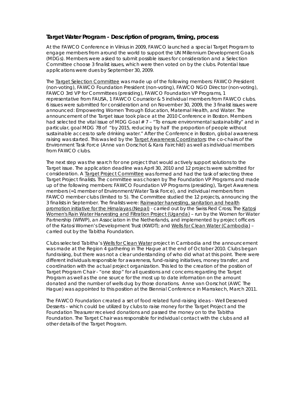## **Target Water Program - Description of program, timing, process**

At the FAWCO Conference in Vilnius in 2009, FAWCO launched a special Target Program to engage members from around the world to support the UN Millennium Development Goals (MDGs). Members were asked to submit possible issues for consideration and a Selection Committee choose 3 finalist issues, which were then voted on by the clubs. Potential Issue applications were dues by September 30, 2009.

The Target Selection Committee was made up of the following members: FAWCO President (non-voting), FAWCO Foundation President (non-voting), FAWCO NGO Director (non-voting), FAWCO 3rd VP for Committees (presiding), FAWCO Foundation VP Programs, 1 representative from FAUSA, 1 FAWCO Counselor & 5 individual members from FAWCO clubs. 6 issues were submitted for consideration and on November 30, 2009, the 3 finalist issues were announced: *Empowering Women Through Education*, *Maternal Health*, and *Water*. The announcement of the Target issue took place at the 2010 Conference in Boston. Members had selected the vital issue of MDG Goal  $# 7 - "To ensure environmental sustainability"$  and in particular, goal MDG 7B of "by 2015, reducing by half the proportion of people without sustainable access to safe drinking water." After the Conference in Boston, global awareness raising was started. This was led by the Target Awareness Coordinators: the co-chairs of the Environment Task Force (Anne van Oorschot & Kara Fairchild) as well as individual members from FAWCO clubs.

The next step was the search for one project that would actively support solutions to the Target issue. The application deadline was April 30, 2010 and 12 projects were submitted for consideration. A Target Project Committee was formed and had the task of selecting three Target Project finalists. The committee was chosen by The Foundation VP Programs and made up of the following members: FAWCO Foundation VP Programs (presiding), Target Awareness members (=1 member of Environment/Water Task Force), and individual members from FAWCO member clubs (limited to 5). The Committee studied the 12 projects, announcing the 3 finalists in September. The finalists were: Rainwater harvesting, sanitation and health promotion initiative for the Himalayas (Nepal) - carried out by the Swiss Red Cross; The Katosi Women's Rain Water Harvesting and Filtration Project (Uganda) – run by the *Women for Water Partnership (WfWP)*, an Association in the Netherlands, and implemented by project officers of the *Katosi Women's Development Trust (KWDT*); and Wells for Clean Water (Cambodia) – carried out by the Tabitha Foundation.

Clubs selected Tabitha's Wells for Clean Water project in Cambodia and the announcement was made at the Region 4 gathering in The Hague at the end of October 2010. Clubs began fundraising, but there was not a clear understanding of who did what at this point. There were different individuals responsible for awareness, fund-raising initiatives, money transfer, and coordination with the actual project organization. This led to the creation of the position of Target Program Chair - "one stop" for all questions and concerns regarding the Target Program as well as the one source for the most up to date information on the amount donated and the number of wells dug by those donations. Anne van Oorschot (AWC The Hague) was appointed to this position at the Biennial Conference in Marrakech, March 2011.

The FAWCO Foundation created a set of food related fund-raising ideas – *Well Deserved Desserts* – which could be utilized by clubs to raise money for the Target Project and the Foundation Treasurer received donations and passed the money on to the Tabitha Foundation. The Target Chair was responsible for individual contact with the clubs and all other details of the Target Program.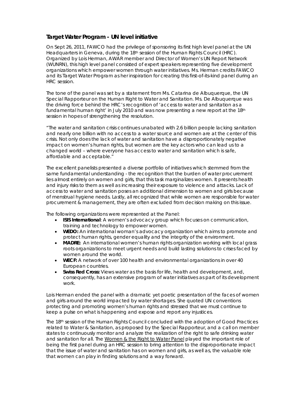## **Target Water Program - UN level initiative**

On Sept 26, 2011, FAWCO had the privilege of sponsoring its first high level panel at the UN Headquarters in Geneva, during the 18th session of the Human Rights Council (HRC). Organized by Lois Herman, AWAR member and Director of Women's UN Report Network (WUNRN), this high level panel consisted of expert speakers representing five development organizations which empower women through water initiatives. Ms. Herman credits FAWCO and its Target Water Program as her inspiration for creating this first-of-its-kind panel during an HRC session.

The tone of the panel was set by a statement from Ms. Catarina de Albuquerque, the UN Special Rapporteur on the Human Right to Water and Sanitation. Ms. De Albuquerque was the driving force behind the HRC's recognition of *'access to water and sanitation as a fundamental human right'* in July 2010 and was now presenting a new report at the 18th session in hopes of strengthening the resolution.

*"The water and sanitation crisis continues unabated with 2.6 billion people lacking sanitation and nearly one billion with no access to a water source and women are at the center of this crisis. Not only does the lack of water and sanitation have a disproportionately negative impact on women's human rights, but women are the key actors who can lead us to a changed world – where everyone has access to water and sanitation which is safe, affordable and acceptable."* 

The excellent panelists presented a diverse portfolio of initiatives which stemmed from the same fundamental understanding - the recognition that the burden of water procurement lies almost entirely on women and girls, that this task marginalizes women. It presents health and injury risks to them as well as increasing their exposure to violence and attacks. Lack of access to water and sanitation poses an additional dimension to women and girls because of menstrual hygiene needs. Lastly, all recognized that while women are responsible for water procurement & management, they are often excluded from decision making on this issue.

The following organizations were represented at the Panel:

- **ISIS International**: A women's advocacy group which focuses on communication, training and technology to empower women.
- **WEDO:** An international woman's advocacy organization which aims to promote and protect human rights, gender equality and the integrity of the environment.
- **MADRE:** An international women's human rights organization working with local grass roots organizations to meet urgent needs and build lasting solutions to crises faced by women around the world.
- **WECF:** A network of over 100 health and environmental organizations in over 40 European countries.
- **Swiss Red Cross:** Views water as the basis for life, health and development, and, consequently, has an extensive program of water initiatives as part of its development work.

Lois Herman ended the panel with a dramatic yet poetic presentation of the faces of women and girls around the world impacted by water shortages. She quoted UN conventions protecting and promoting women's human rights and stressed that we must continue to keep a pulse on what is happening and expose and report any injustices.

The 18th session of the Human Rights Council concluded with the adoption of Good Practices related to Water & Sanitation, as proposed by the Special Rapporteur, and a call on member states to continuously monitor and analyze the realization of the right to safe drinking water and sanitation for *all*. The Women & the Right to Water Panel played the important role of being the first panel during an HRC session to bring attention to the disproportionate impact that the issue of water and sanitation has on women and girls, as well as, the valuable role that women can play in finding solutions and a way forward.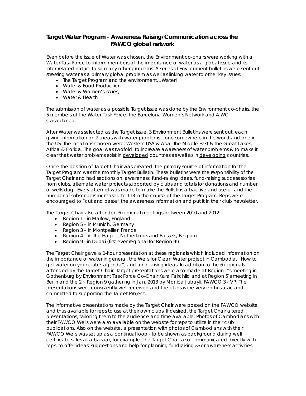## **Target Water Program - Awareness Raising/Communication across the FAWCO global network**

Even before the issue of Water was chosen, the Environment co-chairs were working with a Water Task Force to inform members of the importance of water as a global issue and its inter-related nature to so many other problems. A series of Environment bulletins were sent out stressing water as a primary global problem as well as linking water to other key issues:

- The Target Program and the environment…Water!
- Water & Food Production
- Water & Women's issues,
- Water & Health

The submission of water as a possible Target Issue was done by the Environment co-chairs, the 5 members of the Water Task Force, the Barcelona Women's Network and AIWC Casablanca.

After Water was selected as the Target issue, 3 Environment Bulletins were sent out, each giving information on 2 areas with water problems – one somewhere in the world and one in the US. The locations chosen were: Western USA & Asia, The Middle East & the Great Lakes, Africa & Florida. The goal was twofold: to increase awareness of water problems & to make it clear that water problems exist in developed countries as well as in developing countries.

Once the position of Target Chair was created, the primary source of information for the Target Program was the monthly Target Bulletin. These bulletins were the responsibility of the Target Chair and had sections on: awareness, fund-raising ideas, fund-raising success stories from clubs, alternate water projects supported by clubs and totals for donations and number of wells dug. Every attempt was made to make the Bulletins attractive and useful, and the number of subscribers increased to 113 in the course of the Target Program. Reps were encouraged to "cut and paste" the awareness information and put it in their club newsletter.

The Target Chair also attended 6 regional meetings between 2010 and 2012:

- Region 1 in Marlow, England
- Region 5 in Munich, Germany
- Region 3 in Montpellier, France
- Region 4 in The Hague, Netherlands and Brussels, Belgium
- Region 9 in Dubai (first ever regional for Region 9!)

The Target Chair gave a 1-hour presentation at these regionals which included information on the importance of water in general, the *Wells for Clean Water* project in Cambodia, "How to get water on your club's agenda", and fund-raising ideas. In addition to the 6 regionals attended by the Target Chair, Target presentations were also made at Region 2's meeting in Gothenburg by Environment Task Force Co-Chair Kara Fairchild and at Region 5's meeting in Berlin and the 2<sup>nd</sup> Region 9 gathering in Jan. 2013 by Monica Jubayli, FAWCO 3<sup>rd</sup> VP. The presentations were consistently well received and the clubs were very enthusiastic and committed to supporting the Target Project.

The informative presentations made by the Target Chair were posted on the FAWCO website and thus available for reps to use at their own clubs. If desired, the Target Chair altered presentations, tailoring them to the audience and time available. Photos of Cambodians with their FAWCO Wells were also available on the website for reps to utilize in their club publications. Also on the website, a presentation with photos of Cambodians with their FAWCO Wells was set up as a continual loop - to be shown as background during well certificate sales at a bazaar, for example. The Target Chair also communicated directly with reps. to offer ideas, suggestions and help for planning fundraising &/or awareness activities.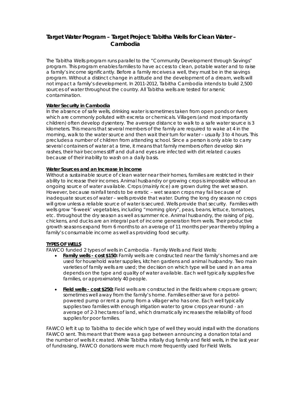## **Target Water Program – Target Project: Tabitha Wells for Clean Water – Cambodia**

The Tabitha Wells program runs parallel to the "Community Development through Savings" program. This program enables families to have access to clean, potable water and to raise a family's income significantly. Before a family receives a well, they must be in the savings program. Without a distinct change in attitude and the development of a dream, wells will not impact a family's development. In 2011-2012, Tabitha Cambodia intends to build 2,500 sources of water throughout the country. All Tabitha wells are tested for arsenic contamination.

#### **Water Security in Cambodia**

In the absence of safe wells, drinking water is sometimes taken from open ponds or rivers which are commonly polluted with excreta or chemicals. Villagers (and most importantly children) often develop dysentery. The average distance to walk to a safe water source is 3 kilometers. This means that several members of the family are required to wake at 4 in the morning, walk to the water source and then wait their turn for water – usually 3 to 4 hours. This precludes a number of children from attending school. Since a person is only able to carry several containers of water at a time, it means that family members often develop skin rashes, their hair becomes stiff and dull and eyes are infected with dirt related causes because of their inability to wash on a daily basis.

#### **Water Sources and an Increase in Income**

Without a sustainable source of clean water near their homes, families are restricted in their ability to increase their incomes. Animal husbandry or growing crops is impossible without an ongoing source of water available. Crops (mainly rice) are grown during the wet season. However, because rainfall tends to be erratic – wet season crops may fail because of inadequate sources of water – wells provide that water. During the long dry season no crops will grow unless a reliable source of water is secured. Wells provide that security. Families with wells grow "6-week' vegetables, including "morning glory", peas, beans, lettuce, tomatoes, etc. throughout the dry season as well as summer rice. Animal husbandry, the raising of pig, chickens, and ducks are an integral part of income generation from wells. Their productive growth seasons expand from 6 months to an average of 11 months per year thereby tripling a family's consumable income as well as providing food security.

#### **TYPES OF WELLS**

FAWCO funded 2 types of wells in Cambodia - Family Wells and Field Wells:

- **Family wells cost \$150:** Family wells are constructed near the family's homes and are used for household water supplies, kitchen gardens and animal husbandry. Two main varieties of family wells are used; the decision on which type will be used in an area depends on the type and quality of water available. Each well typically supplies five families, or approximately 40 people.
- **Field wells cost \$250:** Field wells are constructed in the fields where crops are grown; sometimes well away from the family's home. Families either save for a petrolpowered pump or rent a pump from a villager who has one. Each well typically supplies two families with enough irrigation water to grow crops year round - an average of 2-3 hectares of land, which dramatically increases the reliability of food supplies for poor families.

FAWCO left it up to Tabitha to decide which type of well they would install with the donations FAWCO sent. This meant that there was a gap between announcing a donation total and the number of wells it created. While Tabitha initially dug family and field wells, in the last year of fundraising, FAWCO donations were much more frequently used for Field Wells.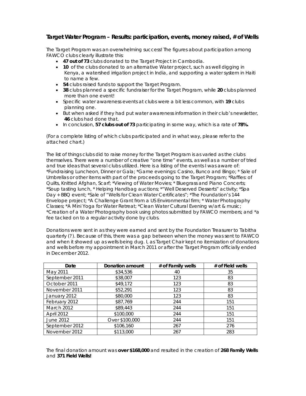## **Target Water Program – Results: participation, events, money raised, # of Wells**

The Target Program was an overwhelming success! The figures about participation among FAWCO clubs clearly illustrate this:

- **47 out of 73** clubs donated to the Target Project in Cambodia.
- **10** of the clubs donated to an alternative Water project, such as well digging in Kenya, a watershed irrigation project in India, and supporting a water system in Haiti to name a few.
- **54** clubs raised funds to support the Target Program.
- **38** clubs planned a specific fundraiser for the Target Program, while **20** clubs planned more than one event!
- Specific water awareness events at clubs were a bit less common, with **19** clubs planning one.
- But when asked if they had put water awareness information in their club's newsletter, **46** clubs had done that.
- In conclusion, **57 clubs out of 73** participating in some way, which is a rate of **78%.**

(For a complete listing of which clubs participated and in what way, please refer to the attached chart.)

The list of things clubs did to raise money for the Target Program is as varied as the clubs themselves. There were a number of creative *"one time"* events, as well as a number of tried and true ideas that several clubs utilized. Here is a listing of the events I was aware of: \*Fundraising Luncheon, Dinner or Gala; \*Game evenings: Casino, Bunco and Bingo; \* Sale of Umbrellas or other items with part of the proceeds going to the Target Program; \*Raffles: of Quilts, Knitted Afghan, Scarf; \*Viewing of Water Movies; \* Bluegrass and Piano Concerts; \*Soup tasting lunch, \* *Helping Handbag* auctions; \*"*Well Deserved Desserts*" activity; \*Spa Day + BBQ event; \*Sale of "*Wells for Clean Water* Certificates"; \*The Foundation's 144 Envelope project; \*A Challenge Grant from a US Environmental firm; \* Water Photography Classes; \*A Mini Yoga for Water Retreat; \**Clean Water Cultural Evening* w/art & music; *\**Creation of a Water Photography book using photos submitted by FAWCO members; and \*a fee tacked on to a regular activity done by clubs.

Donations were sent in as they were earned and sent by the Foundation Treasurer to Tabitha quarterly (?). Because of this, there was a gap between when the money was sent to FAWCO and when it showed up as wells being dug. I, as Target Chair kept no itemization of donations and wells before my appointment in March 2011 or after the Target Program officially ended in December 2012.

| Date           | <b>Donation amount</b> | # of Family wells | # of Field wells |
|----------------|------------------------|-------------------|------------------|
| May 2011       | \$34,536               | 40                | 35               |
| September 2011 | \$38,007               | 123               | 83               |
| October 2011   | \$49,172               | 123               | 83               |
| November 2011  | \$52,291               | 123               | 83               |
| January 2012   | \$80,000               | 123               | 83               |
| February 2012  | \$87,769               | 244               | 151              |
| March 2012     | \$89,443               | 244               | 151              |
| April 2012     | \$100,000              | 244               | 151              |
| June 2012      | Over \$100,000         | 244               | 151              |
| September 2012 | \$106,160              | 267               | 276              |
| November 2012  | \$113,000              | 267               | 283              |

The final donation amount was **over \$168,000** and resulted in the creation of **268 Family Wells**  and **371 Field Wells!**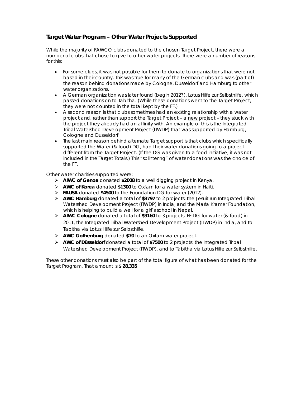# **Target Water Program – Other Water Projects Supported**

While the majority of FAWCO clubs donated to the chosen Target Project, there were a number of clubs that chose to give to other water projects. There were a number of reasons for this:

- For some clubs, it was not possible for them to donate to organizations that were not based in their country. This was true for many of the German clubs and was (part of) the reason behind donations made by Cologne, Dusseldorf and Hamburg to other water organizations.
- A German organization was later found (begin 2012?), *Lotus Hilfe zur Selbsthilfe,* which passed donations on to Tabitha. (While these donations went to the Target Project, they were not counted in the total kept by the FF.)
- A second reason is that clubs sometimes had an existing relationship with a water project and, rather than support the Target Project - a new project - they stuck with the project they already had an affinity with. An example of this is the Integrated Tribal Watershed Development Project (ITWDP) that was supported by Hamburg, Cologne and Dusseldorf.
- The last main reason behind alternate Target support is that clubs which specifically supported the Water (& food) DG, had their water donations going to a project different from the Target Project. (If the DG was given to a food initiative, it was not included in the Target Totals.) This "splintering" of water donations was the choice of the FF.

Other water charities supported were:

- ¾ **AIWC of Genoa** donated **\$2008** to a well digging project in Kenya.
- ¾ **AWC of Korea** donated **\$1300** to Oxfam for a water system in Haiti.
- ¾ **FAUSA** donated **\$4500** to the Foundation DG for water (2012).
- ¾ **AWC Hamburg** donated a total of **\$3797** to 2 projects: the Jesuit run *Integrated Tribal Watershed Development Project (ITWDP)* in India*,* and the *Maria Kramer Foundation*, which is helping to build a well for a girl's school in Nepal.
- ¾ **AIWC Cologne** donated a total of **\$9160** to 3 projects: FF DG for water (& food) in 2011, the Integrated Tribal Watershed Development Project (ITWDP) in India, and to Tabitha via *Lotus Hilfe zur Selbsthilfe.*
- ¾ **AWC Gothenburg** donated **\$70** to an Oxfam water project.
- ¾ **AWC of Düsseldorf** donated a total of **\$7500** to 2 projects: the Integrated Tribal Watershed Development Project (ITWDP), and to Tabitha via *Lotus Hilfe zur Selbsthilfe.*

These other donations must also be part of the total figure of what has been donated for the Target Program. That amount is **\$ 28,335**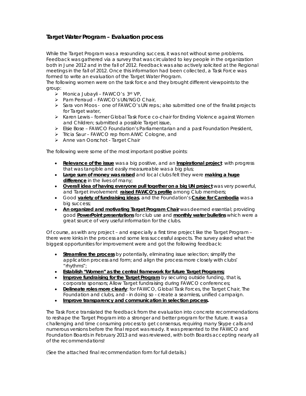# **Target Water Program – Evaluation process**

While the Target Program was a resounding success, it was not without some problems. Feedback was gathered via a survey that was circulated to key people in the organization both in June 2012 and in the fall of 2012. Feedback was also actively solicited at the Regional meetings in the fall of 2012. Once this information had been collected, a Task Force was formed to write an evaluation of the Target Water Program.

The following women were on the task force and they brought different viewpoints to the group:

- ¾ Monica Jubayli FAWCO's 3rd VP,
- ¾ Pam Perraud FAWCO's UN/NGO Chair,
- ¾ Sara von Moos one of FAWCO's UN reps.; also submitted one of the finalist projects for Target water,
- ¾ Karen Lewis former Global Task Force co-chair for *Ending Violence against Women and Children;* submitted a possible Target issue,
- ¾ Elsie Bose FAWCO Foundation's Parliamentarian and a past Foundation President,
- ¾ Tricia Saur FAWCO rep from AIWC Cologne, and
- ¾ Anne van Oorschot Target Chair

The following were some of the most important positive points:

- **Relevance of the issue** was a big positive, and an **Inspirational project** with progress that was tangible and easily measureable was a big plus;
- **Large sum of money was raised** and local clubs felt they were **making a huge difference** in the lives of many;
- **Overall idea of having everyone pull together on a big UN project** was very powerful, and Target involvement **raised FAWCO's profile** among Club members;
- Good **variety of fundraising ideas**, and the Foundation's **Cruise for Cambodia** was a big success;
- **An organized and motivating Target Program Chair** was deemed essential; providing good **PowerPoint presentations** for club use and **monthly water bulletins** which were a great source of very useful information for the clubs.

Of course, as with any project – and especially a first time project like the Target Program – there were kinks in the process and some less successful aspects. The survey asked what the biggest opportunities for improvement were and got the following feedback:

- **Streamline the process** by potentially, eliminating issue selection; simplify the application process and form; and align the process more closely with clubs' "rhythms";
- **Establish "Women" as the central framework for future Target Programs;**
- **Improve fundraising for the Target Program** by securing outside funding, that is, corporate sponsors; Allow Target fundraising during FAWCO conferences;
- **Delineate roles more clearly**: for FAWCO, Global Task Forces, the Target Chair, The Foundation and clubs, and - in doing so - create a seamless, unified campaign.
- **Improve transparency and communication in selection process.**

The Task Force translated the feedback from the evaluation into concrete recommendations to reshape the Target Program into a stronger and better program for the future. It was a challenging and time consuming process to get consensus, requiring many Skype calls and numerous versions before the final report was ready. It was presented to the FAWCO and Foundation Boards in February 2013 and was reviewed, with both Boards accepting nearly all of the recommendations!

(See the attached final recommendation form for full details.)